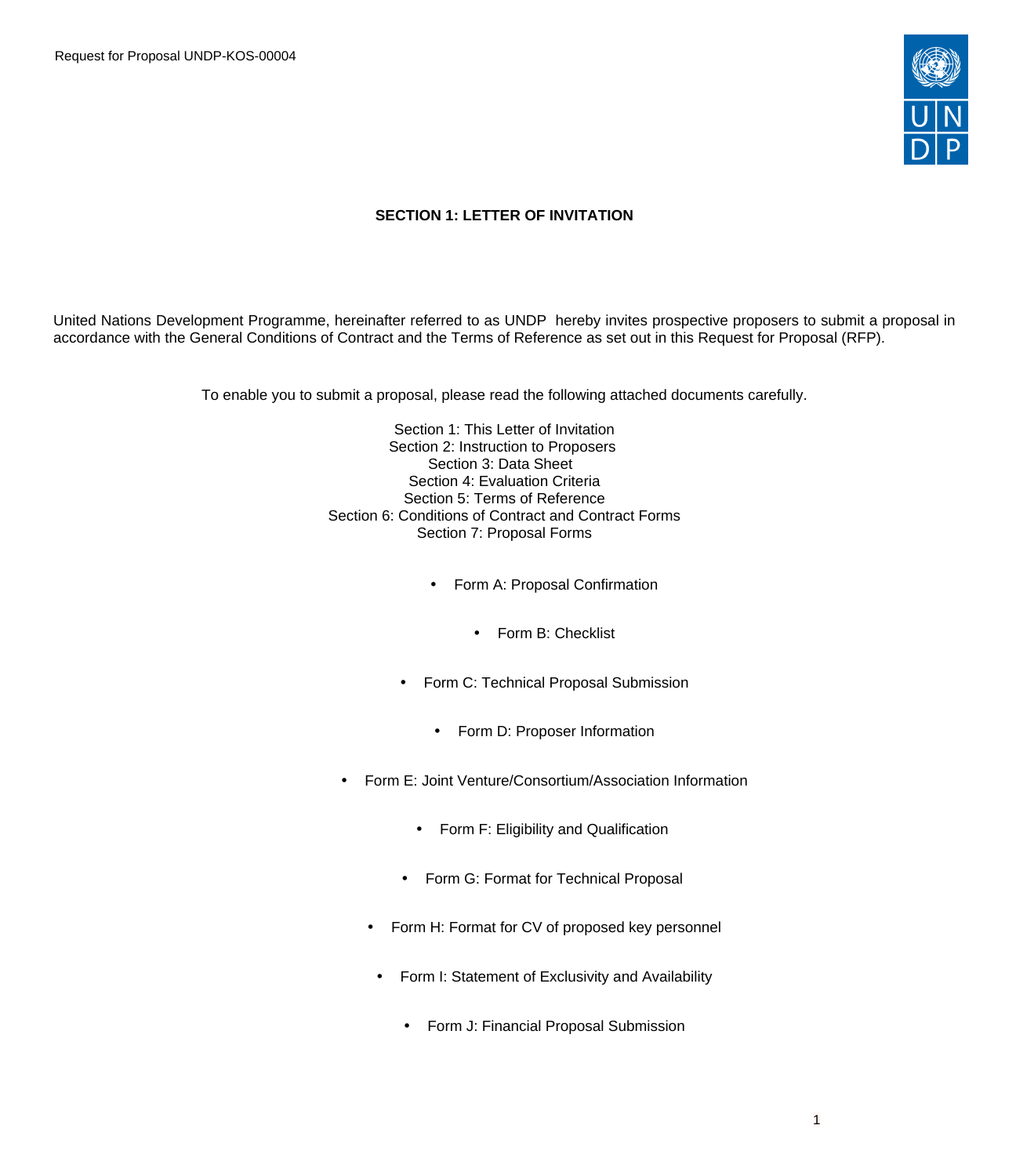Request for Proposal UNDP-KOS-00004



## **SECTION 1: LETTER OF INVITATION**

United Nations Development Programme, hereinafter referred to as UNDP hereby invites prospective proposers to submit a proposal in accordance with the General Conditions of Contract and the Terms of Reference as set out in this Request for Proposal (RFP).

To enable you to submit a proposal, please read the following attached documents carefully.

Section 1: This Letter of Invitation Section 2: Instruction to Proposers Section 3: Data Sheet Section 4: Evaluation Criteria Section 5: Terms of Reference Section 6: Conditions of Contract and Contract Forms Section 7: Proposal Forms

- Form A: Proposal Confirmation
	- Form B: Checklist
- Form C: Technical Proposal Submission
	- Form D: Proposer Information
- Form E: Joint Venture/Consortium/Association Information
	- Form F: Eligibility and Qualification
	- Form G: Format for Technical Proposal
	- Form H: Format for CV of proposed key personnel
	- Form I: Statement of Exclusivity and Availability
		- Form J: Financial Proposal Submission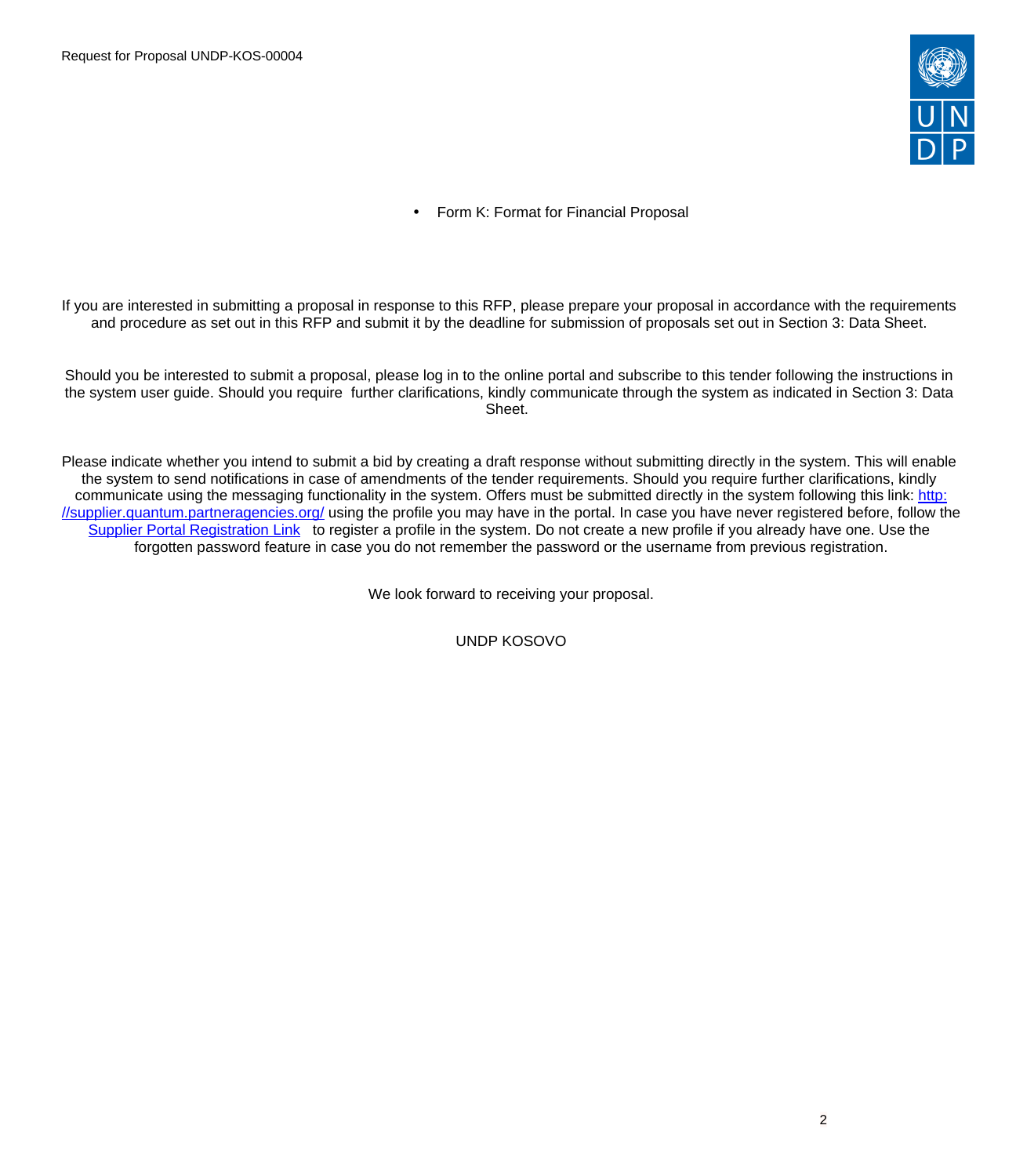

• Form K: Format for Financial Proposal

If you are interested in submitting a proposal in response to this RFP, please prepare your proposal in accordance with the requirements and procedure as set out in this RFP and submit it by the deadline for submission of proposals set out in Section 3: Data Sheet.

Should you be interested to submit a proposal, please log in to the online portal and subscribe to this tender following the instructions in the system user guide. Should you require further clarifications, kindly communicate through the system as indicated in Section 3: Data Sheet.

Please indicate whether you intend to submit a bid by creating a draft response without submitting directly in the system. This will enable the system to send notifications in case of amendments of the tender requirements. Should you require further clarifications, kindly communicate using the messaging functionality in the system. Offers must be submitted directly in the system following this link: [http:](http://supplier.quantum.partneragencies.org/) [//supplier.quantum.partneragencies.org/](http://supplier.quantum.partneragencies.org/) using the profile you may have in the portal. In case you have never registered before, follow the [Supplier Portal Registration Link](https://estm.fa.em2.oraclecloud.com/fscmUI/faces/PrcPosRegisterSupplier?prcBuId=300000127715297&_adf.ctrl-state=azywmctp_1&_afrLoop=6329722925931702&_afrWindowMode=0&_afrWindowId=null&_afrFS=16&_afrMT=screen&_afrMFW=1042&_afrMFH=575&_afrMFDW=1280&_afrMFDH=720&_afrMFC=8&_afrMFCI=0&_afrMFM=0&_afrMFR=144&_afrMFG=0&_afrMFS=0&_afrMFO=0) to register a profile in the system. Do not create a new profile if you already have one. Use the forgotten password feature in case you do not remember the password or the username from previous registration.

We look forward to receiving your proposal.

UNDP KOSOVO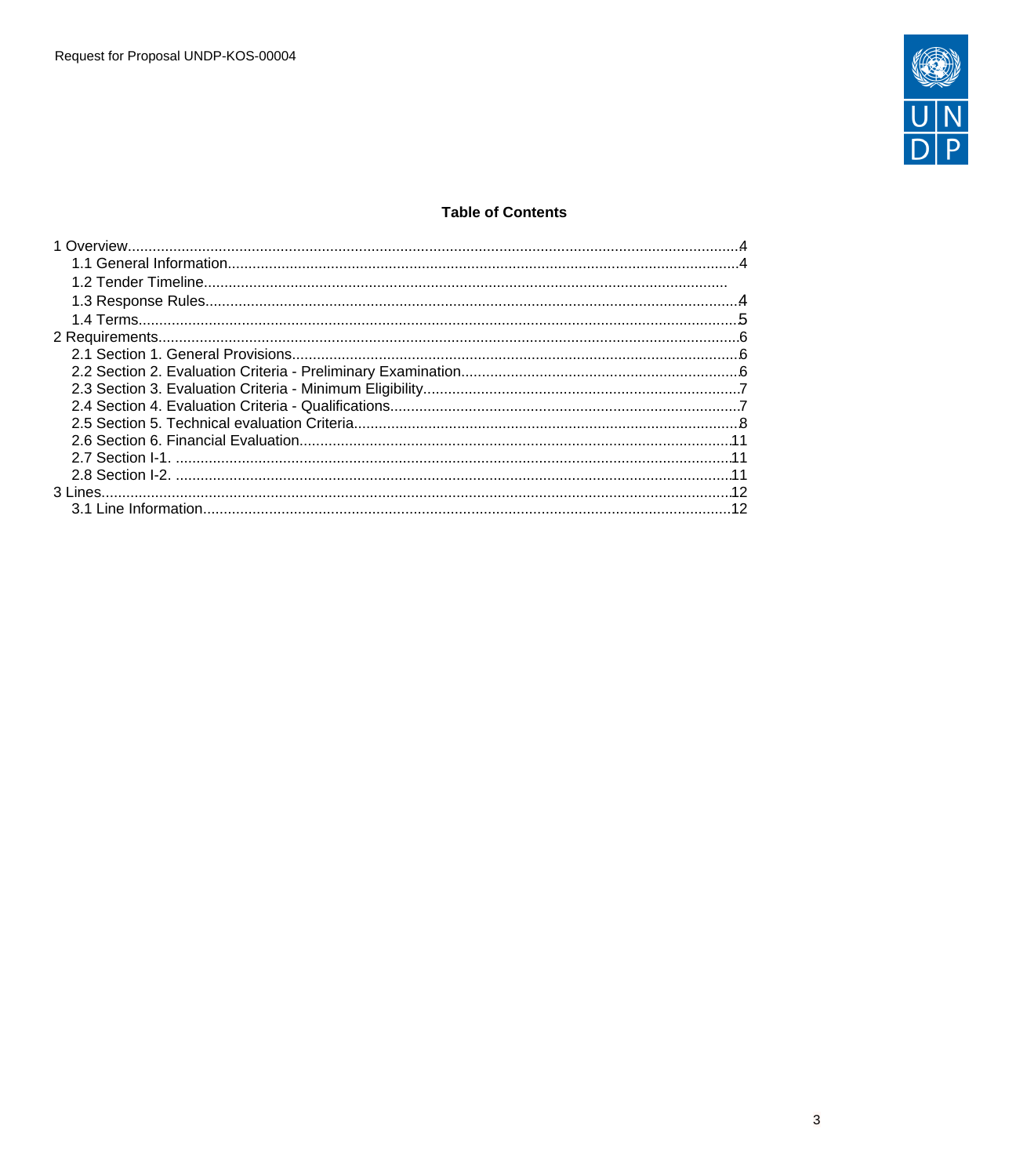

## **Table of Contents**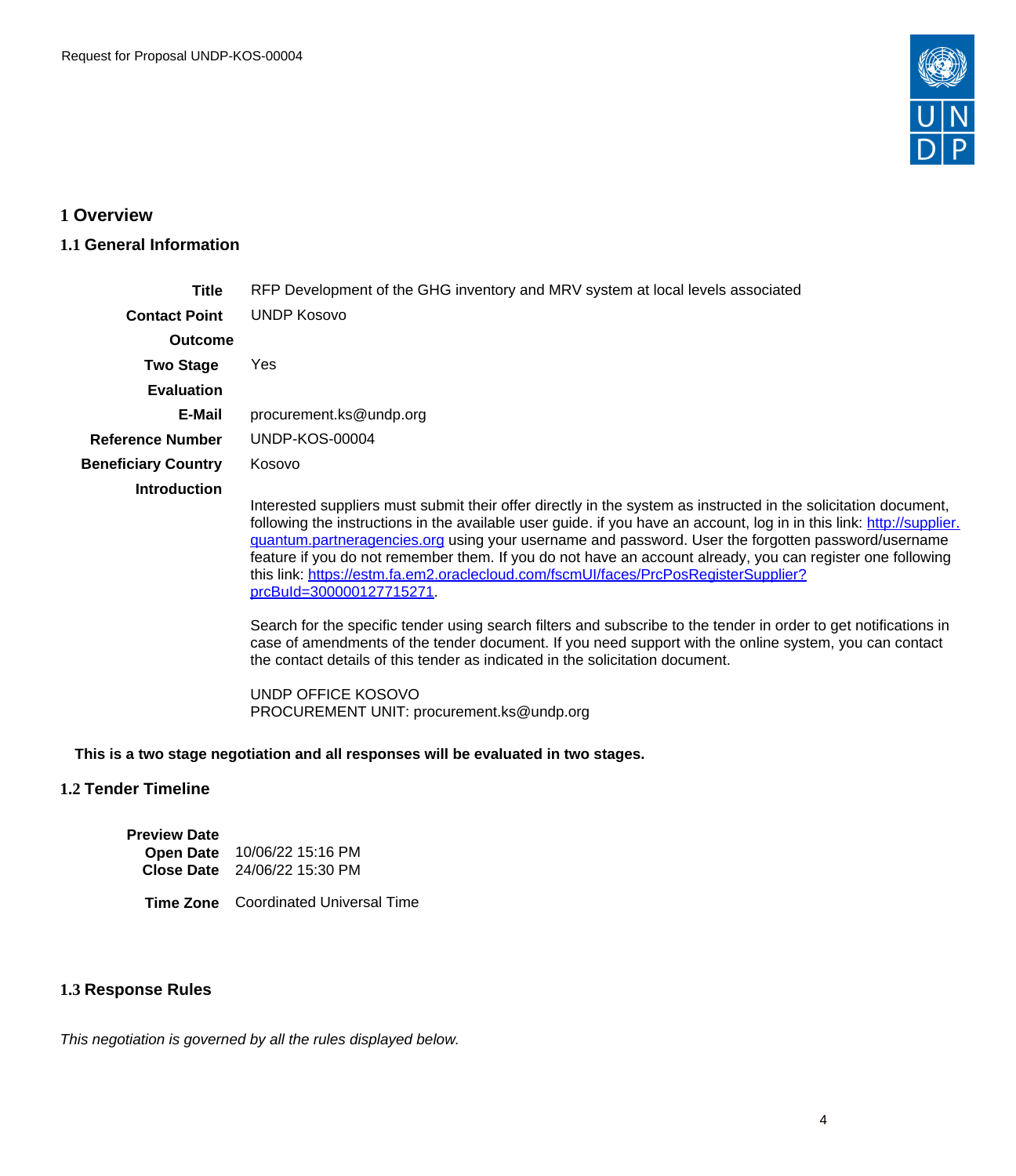

# <span id="page-3-0"></span>**1 Overview**

# <span id="page-3-1"></span>**1.1 General Information**

| Title                      | RFP Development of the GHG inventory and MRV system at local levels associated                                                                                                                                                                                                                                                                                                                                                                                                                                                                                                        |  |  |  |  |  |
|----------------------------|---------------------------------------------------------------------------------------------------------------------------------------------------------------------------------------------------------------------------------------------------------------------------------------------------------------------------------------------------------------------------------------------------------------------------------------------------------------------------------------------------------------------------------------------------------------------------------------|--|--|--|--|--|
| <b>Contact Point</b>       | <b>UNDP Kosovo</b>                                                                                                                                                                                                                                                                                                                                                                                                                                                                                                                                                                    |  |  |  |  |  |
| <b>Outcome</b>             |                                                                                                                                                                                                                                                                                                                                                                                                                                                                                                                                                                                       |  |  |  |  |  |
| <b>Two Stage</b>           | Yes.                                                                                                                                                                                                                                                                                                                                                                                                                                                                                                                                                                                  |  |  |  |  |  |
| <b>Evaluation</b>          |                                                                                                                                                                                                                                                                                                                                                                                                                                                                                                                                                                                       |  |  |  |  |  |
| E-Mail                     | procurement.ks@undp.org                                                                                                                                                                                                                                                                                                                                                                                                                                                                                                                                                               |  |  |  |  |  |
| <b>Reference Number</b>    | <b>UNDP-KOS-00004</b>                                                                                                                                                                                                                                                                                                                                                                                                                                                                                                                                                                 |  |  |  |  |  |
| <b>Beneficiary Country</b> | Kosovo                                                                                                                                                                                                                                                                                                                                                                                                                                                                                                                                                                                |  |  |  |  |  |
| <b>Introduction</b>        | Interested suppliers must submit their offer directly in the system as instructed in the solicitation document,<br>following the instructions in the available user guide. if you have an account, log in in this link: http://supplier.<br>guantum.partneragencies.org using your username and password. User the forgotten password/username<br>feature if you do not remember them. If you do not have an account already, you can register one following<br>this link: https://estm.fa.em2.oraclecloud.com/fscmUI/faces/PrcPosRegisterSupplier?<br><u>prcBuId=300000127715271</u> |  |  |  |  |  |
|                            | Search for the specific tender using search filters and subscribe to the tender in erder to get potifications in                                                                                                                                                                                                                                                                                                                                                                                                                                                                      |  |  |  |  |  |

Search for the specific tender using search filters and subscribe to the tender in order to get notifications in case of amendments of the tender document. If you need support with the online system, you can contact the contact details of this tender as indicated in the solicitation document.

UNDP OFFICE KOSOVO PROCUREMENT UNIT: procurement.ks@undp.org

#### **This is a two stage negotiation and all responses will be evaluated in two stages.**

## **1.2 Tender Timeline**

**Preview Date Open Date** 10/06/22 15:16 PM **Close Date** 24/06/22 15:30 PM

**Time Zone** Coordinated Universal Time

### <span id="page-3-2"></span>**1.3 Response Rules**

This negotiation is governed by all the rules displayed below.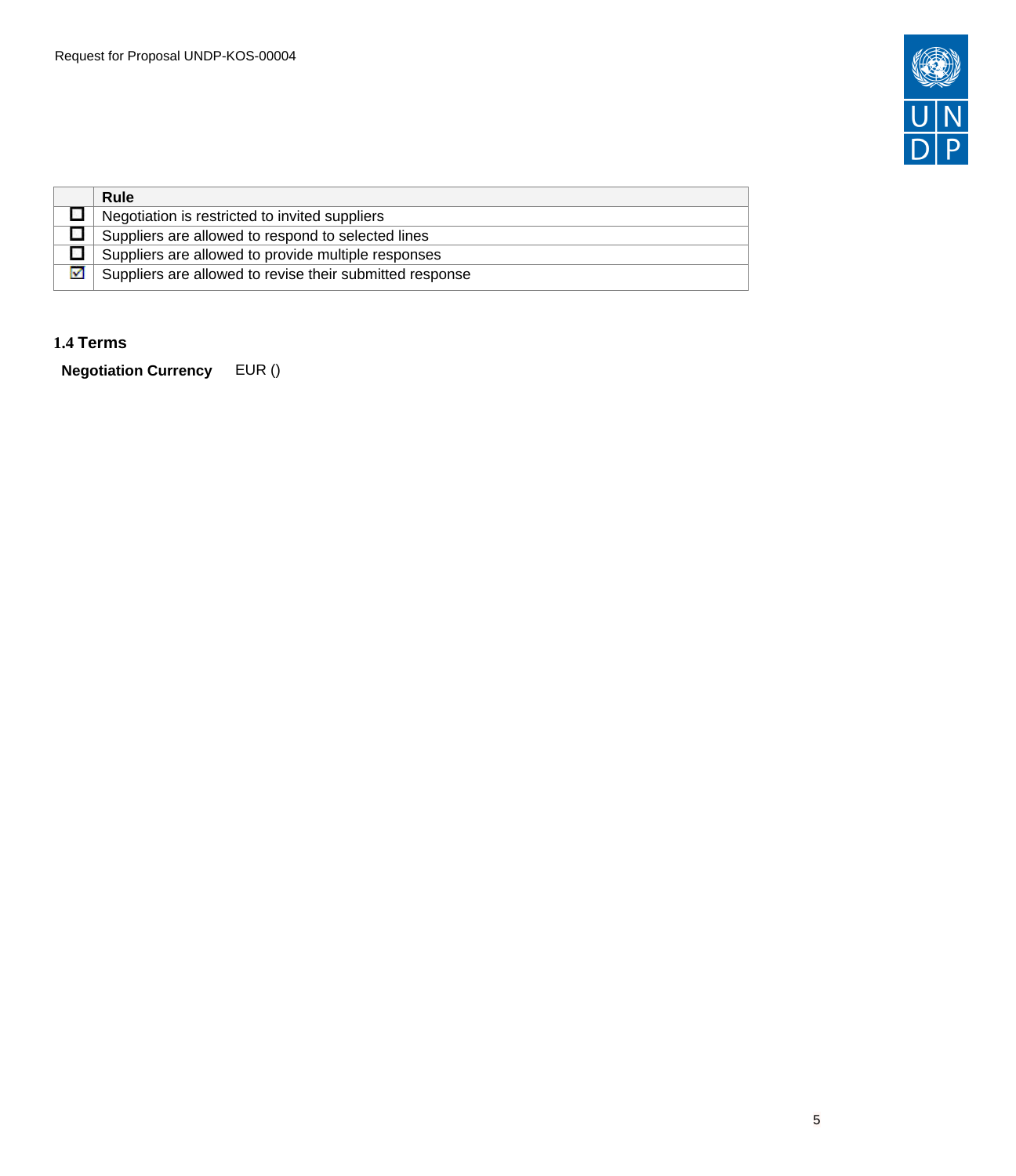

|   | Rule                                                     |
|---|----------------------------------------------------------|
|   | Negotiation is restricted to invited suppliers           |
|   | Suppliers are allowed to respond to selected lines       |
|   | Suppliers are allowed to provide multiple responses      |
| ⊽ | Suppliers are allowed to revise their submitted response |

## <span id="page-4-0"></span>**1.4 Terms**

**Negotiation Currency** EUR ()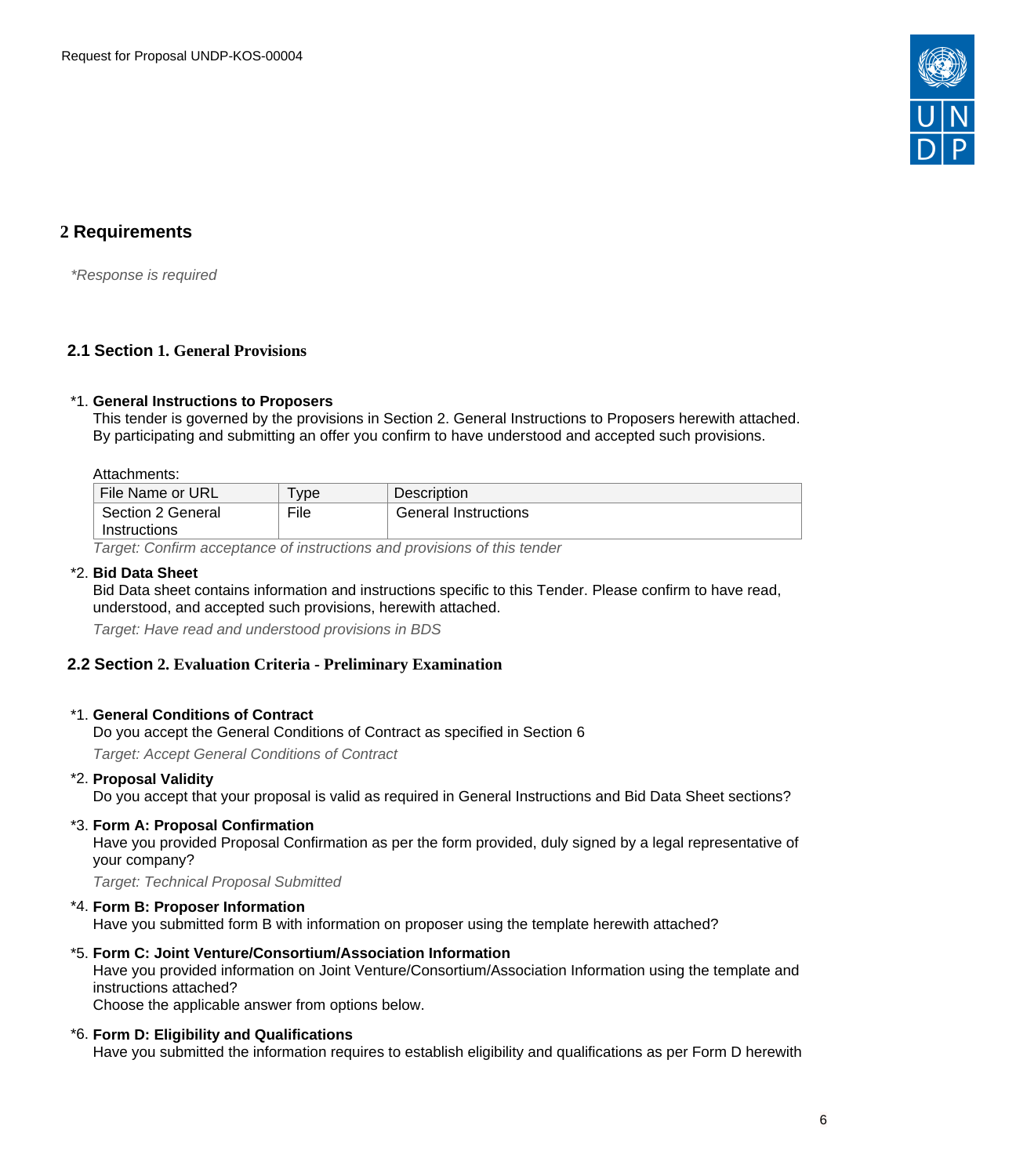

# <span id="page-5-0"></span>**2 Requirements**

\*Response is required

## <span id="page-5-1"></span>**2.1 Section 1. General Provisions**

#### \*1. **General Instructions to Proposers**

This tender is governed by the provisions in Section 2. General Instructions to Proposers herewith attached. By participating and submitting an offer you confirm to have understood and accepted such provisions.

Attachments:

| File Name or URL                          | vpe <sup>1</sup> | Description                 |  |  |  |
|-------------------------------------------|------------------|-----------------------------|--|--|--|
| Section 2 General                         | File             | <b>General Instructions</b> |  |  |  |
| Instructions                              |                  |                             |  |  |  |
| $\overline{\phantom{0}}$<br>$\sim$ $\sim$ |                  |                             |  |  |  |

Target: Confirm acceptance of instructions and provisions of this tender

### \*2. **Bid Data Sheet**

Bid Data sheet contains information and instructions specific to this Tender. Please confirm to have read, understood, and accepted such provisions, herewith attached.

Target: Have read and understood provisions in BDS

### <span id="page-5-2"></span>**2.2 Section 2. Evaluation Criteria - Preliminary Examination**

#### \*1. **General Conditions of Contract**

Do you accept the General Conditions of Contract as specified in Section 6

Target: Accept General Conditions of Contract

#### \*2. **Proposal Validity**

Do you accept that your proposal is valid as required in General Instructions and Bid Data Sheet sections?

#### \*3. **Form A: Proposal Confirmation**

Have you provided Proposal Confirmation as per the form provided, duly signed by a legal representative of your company?

Target: Technical Proposal Submitted

#### \*4. **Form B: Proposer Information**

Have you submitted form B with information on proposer using the template herewith attached?

#### \*5. **Form C: Joint Venture/Consortium/Association Information**

Have you provided information on Joint Venture/Consortium/Association Information using the template and instructions attached?

Choose the applicable answer from options below.

#### \*6. **Form D: Eligibility and Qualifications**

Have you submitted the information requires to establish eligibility and qualifications as per Form D herewith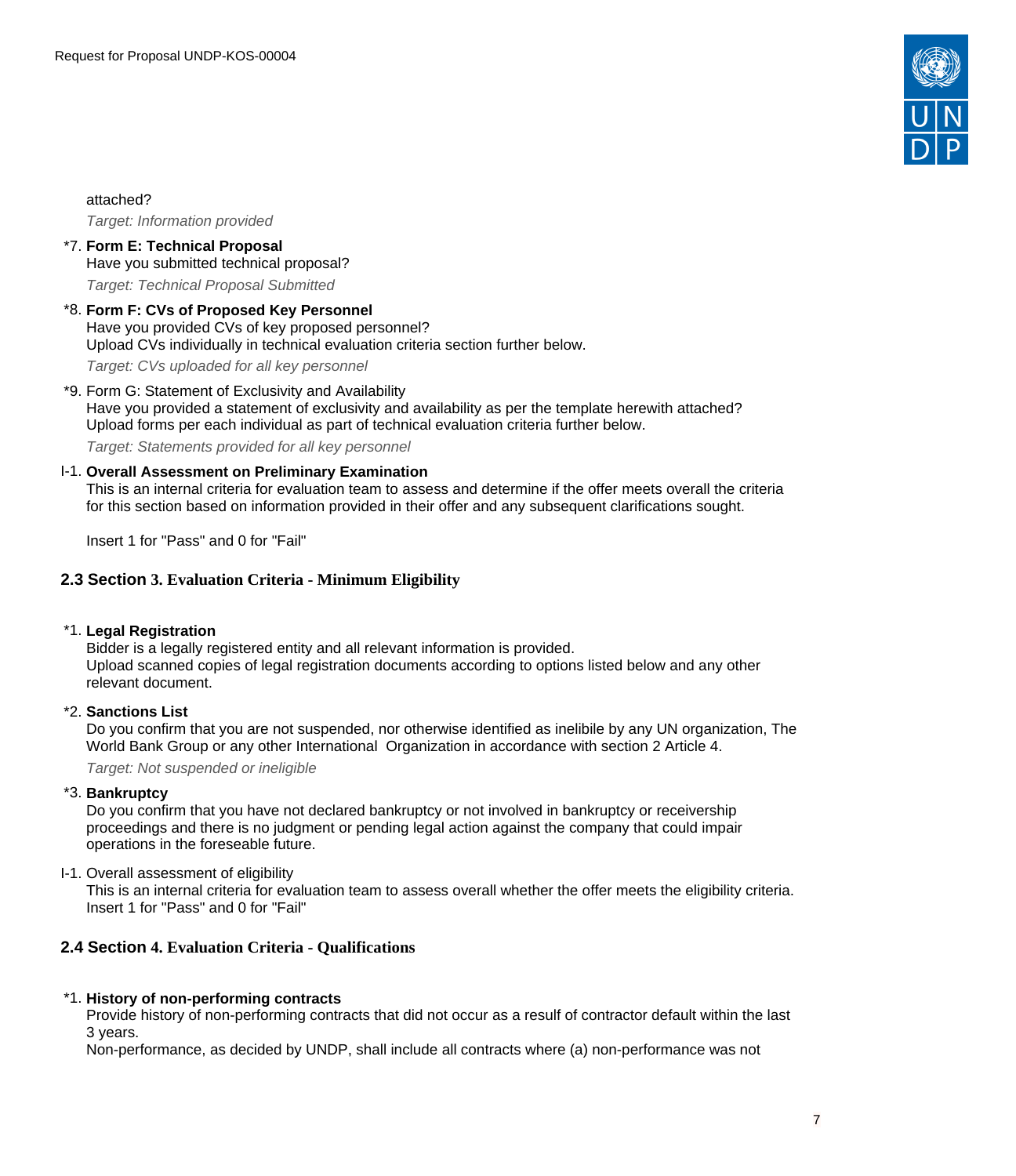

attached?

Target: Information provided

#### \*7. **Form E: Technical Proposal** Have you submitted technical proposal?

Target: Technical Proposal Submitted

# \*8. **Form F: CVs of Proposed Key Personnel** Have you provided CVs of key proposed personnel? Upload CVs individually in technical evaluation criteria section further below.

Target: CVs uploaded for all key personnel

#### \*9. Form G: Statement of Exclusivity and Availability

Have you provided a statement of exclusivity and availability as per the template herewith attached? Upload forms per each individual as part of technical evaluation criteria further below.

Target: Statements provided for all key personnel

#### I-1. **Overall Assessment on Preliminary Examination**

This is an internal criteria for evaluation team to assess and determine if the offer meets overall the criteria for this section based on information provided in their offer and any subsequent clarifications sought.

Insert 1 for "Pass" and 0 for "Fail"

## <span id="page-6-0"></span>**2.3 Section 3. Evaluation Criteria - Minimum Eligibility**

### \*1. **Legal Registration**

Bidder is a legally registered entity and all relevant information is provided. Upload scanned copies of legal registration documents according to options listed below and any other relevant document.

### \*2. **Sanctions List**

Do you confirm that you are not suspended, nor otherwise identified as inelibile by any UN organization, The World Bank Group or any other International Organization in accordance with section 2 Article 4.

Target: Not suspended or ineligible

### \*3. **Bankruptcy**

Do you confirm that you have not declared bankruptcy or not involved in bankruptcy or receivership proceedings and there is no judgment or pending legal action against the company that could impair operations in the foreseable future.

I-1. Overall assessment of eligibility

This is an internal criteria for evaluation team to assess overall whether the offer meets the eligibility criteria. Insert 1 for "Pass" and 0 for "Fail"

## <span id="page-6-1"></span>**2.4 Section 4. Evaluation Criteria - Qualifications**

### \*1. **History of non-performing contracts**

Provide history of non-performing contracts that did not occur as a resulf of contractor default within the last 3 years.

Non-performance, as decided by UNDP, shall include all contracts where (a) non-performance was not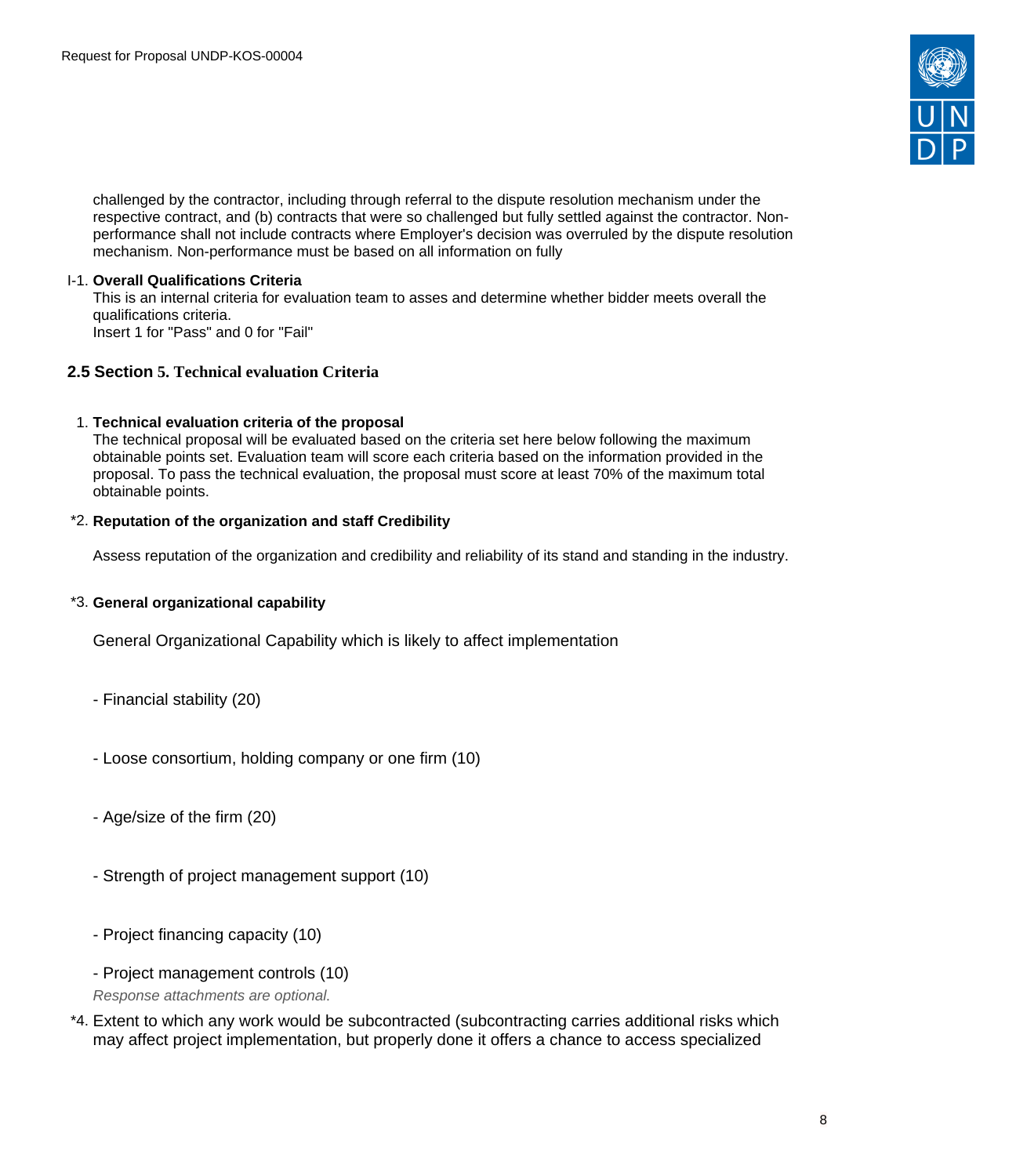

challenged by the contractor, including through referral to the dispute resolution mechanism under the respective contract, and (b) contracts that were so challenged but fully settled against the contractor. Nonperformance shall not include contracts where Employer's decision was overruled by the dispute resolution mechanism. Non-performance must be based on all information on fully

### I-1. **Overall Qualifications Criteria**

This is an internal criteria for evaluation team to asses and determine whether bidder meets overall the qualifications criteria. Insert 1 for "Pass" and 0 for "Fail"

### <span id="page-7-0"></span>**2.5 Section 5. Technical evaluation Criteria**

#### 1. **Technical evaluation criteria of the proposal**

The technical proposal will be evaluated based on the criteria set here below following the maximum obtainable points set. Evaluation team will score each criteria based on the information provided in the proposal. To pass the technical evaluation, the proposal must score at least 70% of the maximum total obtainable points.

#### \*2. **Reputation of the organization and staff Credibility**

Assess reputation of the organization and credibility and reliability of its stand and standing in the industry.

### \*3. **General organizational capability**

General Organizational Capability which is likely to affect implementation

- Financial stability (20)
- Loose consortium, holding company or one firm (10)
- Age/size of the firm (20)
- Strength of project management support (10)
- Project financing capacity (10)
- Project management controls (10)

Response attachments are optional*.*

\*4. Extent to which any work would be subcontracted (subcontracting carries additional risks which may affect project implementation, but properly done it offers a chance to access specialized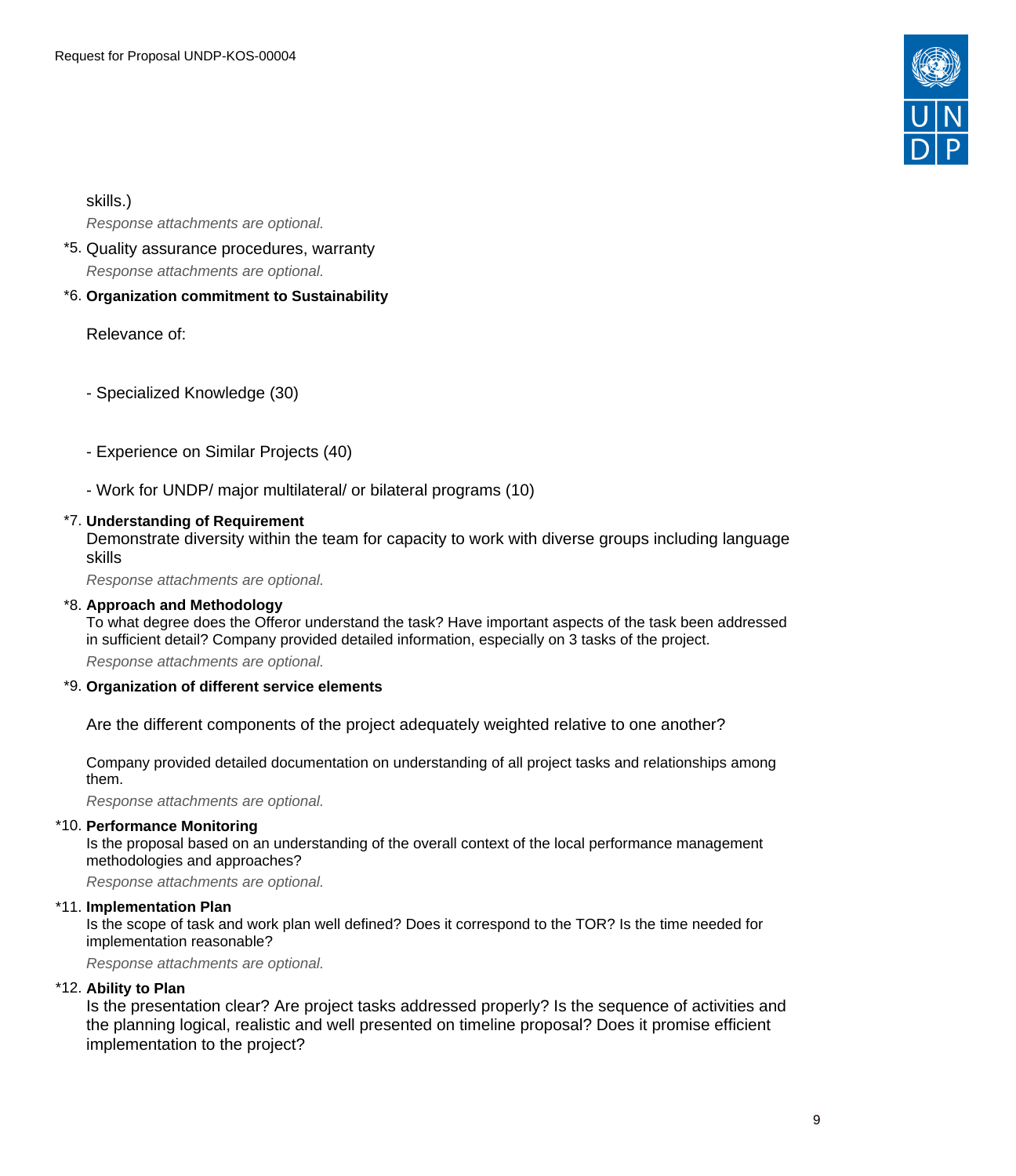

skills.)

Response attachments are optional*.*

- \*5. Quality assurance procedures, warranty Response attachments are optional*.*
- \*6. **Organization commitment to Sustainability**

Relevance of:

- Specialized Knowledge (30)

- Experience on Similar Projects (40)
- Work for UNDP/ major multilateral/ or bilateral programs (10)

### \*7. **Understanding of Requirement**

Demonstrate diversity within the team for capacity to work with diverse groups including language skills

Response attachments are optional*.*

### \*8. **Approach and Methodology**

To what degree does the Offeror understand the task? Have important aspects of the task been addressed in sufficient detail? Company provided detailed information, especially on 3 tasks of the project.

Response attachments are optional*.*

#### \*9. **Organization of different service elements**

Are the different components of the project adequately weighted relative to one another?

Company provided detailed documentation on understanding of all project tasks and relationships among them.

Response attachments are optional*.*

#### \*10. **Performance Monitoring**

Is the proposal based on an understanding of the overall context of the local performance management methodologies and approaches?

Response attachments are optional*.*

#### \*11. **Implementation Plan**

Is the scope of task and work plan well defined? Does it correspond to the TOR? Is the time needed for implementation reasonable?

Response attachments are optional*.*

### \*12. **Ability to Plan**

Is the presentation clear? Are project tasks addressed properly? Is the sequence of activities and the planning logical, realistic and well presented on timeline proposal? Does it promise efficient implementation to the project?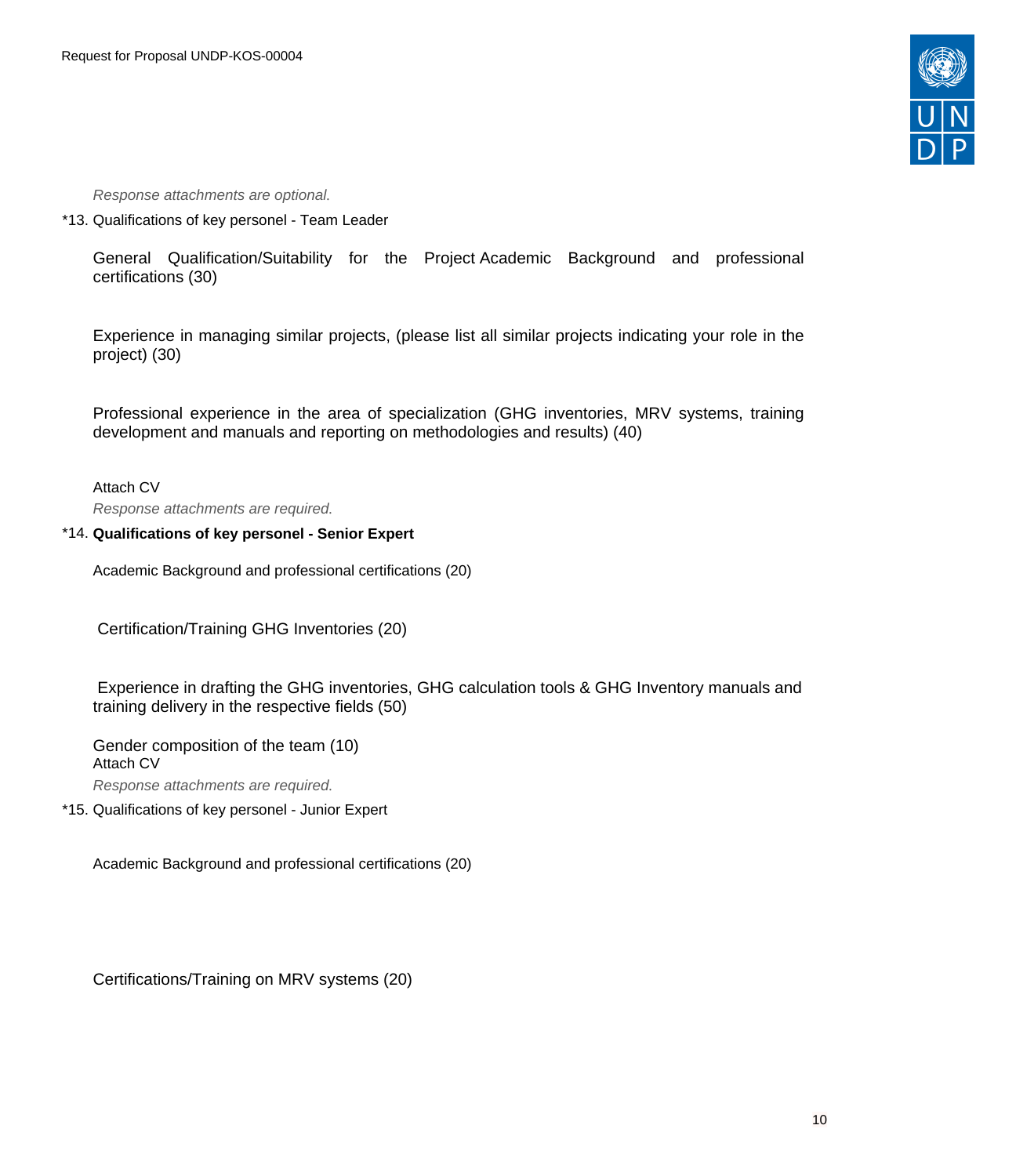

Response attachments are optional*.*

\*13. Qualifications of key personel - Team Leader

General Qualification/Suitability for the Project Academic Background and professional certifications (30)

Experience in managing similar projects, (please list all similar projects indicating your role in the project) (30)

Professional experience in the area of specialization (GHG inventories, MRV systems, training development and manuals and reporting on methodologies and results) (40)

Attach CV Response attachments are required*.*

### \*14. **Qualifications of key personel - Senior Expert**

Academic Background and professional certifications (20)

Certification/Training GHG Inventories (20)

Experience in drafting the GHG inventories, GHG calculation tools & GHG Inventory manuals and training delivery in the respective fields (50)

Gender composition of the team (10) Attach CV Response attachments are required*.*

\*15. Qualifications of key personel - Junior Expert

Academic Background and professional certifications (20)

Certifications/Training on MRV systems (20)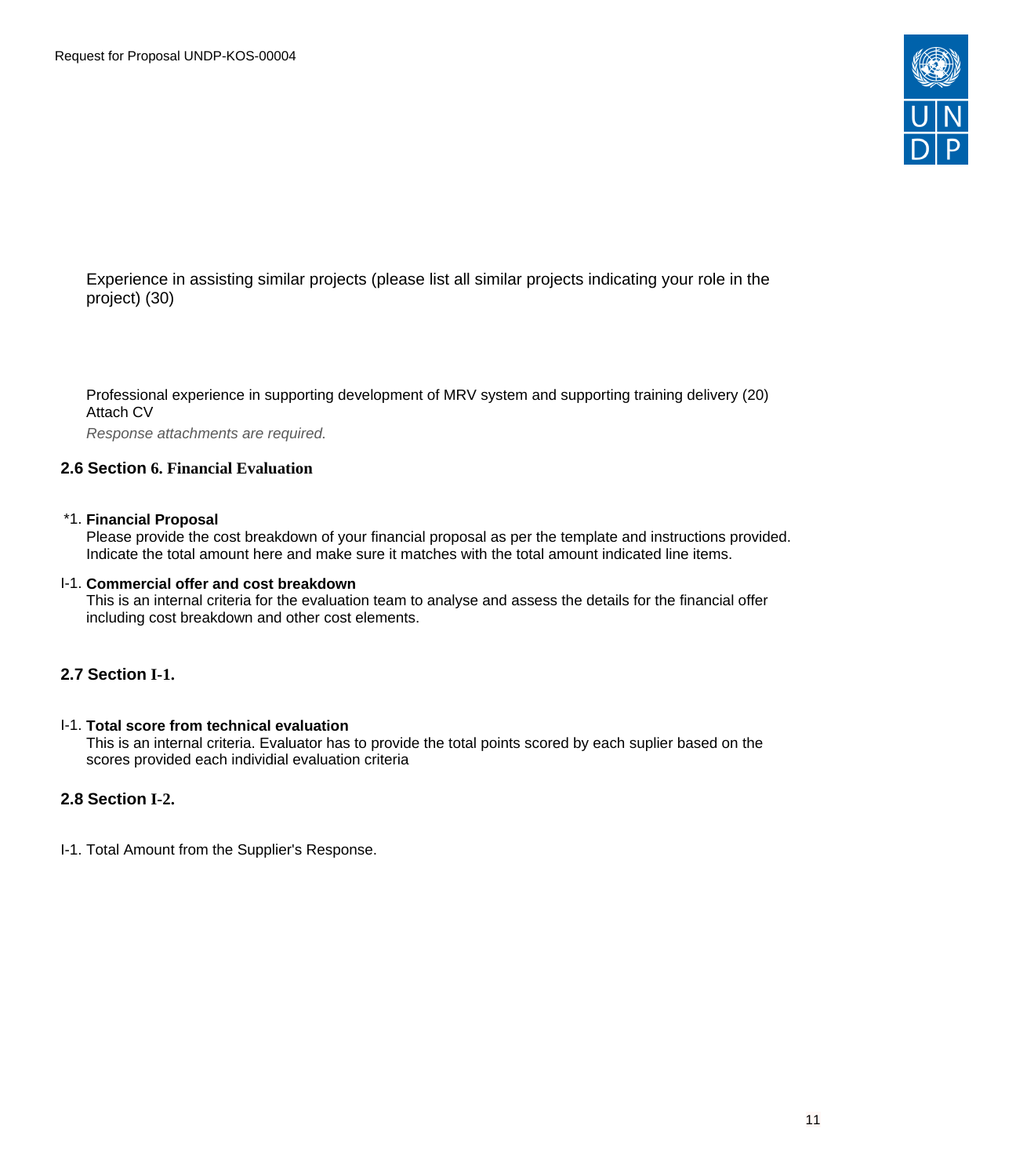

Experience in assisting similar projects (please list all similar projects indicating your role in the project) (30)

Professional experience in supporting development of MRV system and supporting training delivery (20) Attach CV

Response attachments are required*.*

### <span id="page-10-0"></span>**2.6 Section 6. Financial Evaluation**

#### \*1. **Financial Proposal**

Please provide the cost breakdown of your financial proposal as per the template and instructions provided. Indicate the total amount here and make sure it matches with the total amount indicated line items.

#### I-1. **Commercial offer and cost breakdown**

This is an internal criteria for the evaluation team to analyse and assess the details for the financial offer including cost breakdown and other cost elements.

### <span id="page-10-1"></span>**2.7 Section I-1.**

#### I-1. **Total score from technical evaluation**

This is an internal criteria. Evaluator has to provide the total points scored by each suplier based on the scores provided each individial evaluation criteria

### <span id="page-10-2"></span>**2.8 Section I-2.**

I-1. Total Amount from the Supplier's Response.